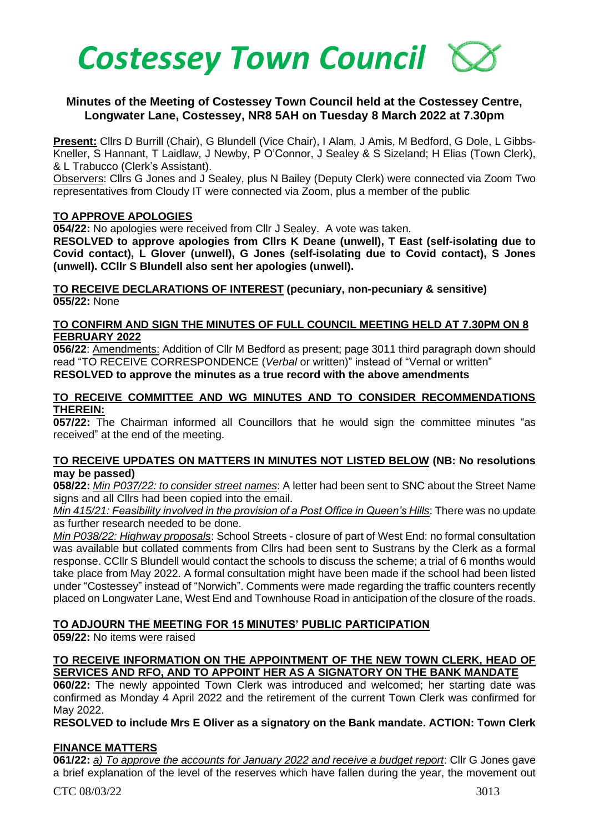

## **Minutes of the Meeting of Costessey Town Council held at the Costessey Centre, Longwater Lane, Costessey, NR8 5AH on Tuesday 8 March 2022 at 7.30pm**

**Present:** Cllrs D Burrill (Chair), G Blundell (Vice Chair), I Alam, J Amis, M Bedford, G Dole, L Gibbs-Kneller, S Hannant, T Laidlaw, J Newby, P O'Connor, J Sealey & S Sizeland; H Elias (Town Clerk), & L Trabucco (Clerk's Assistant).

Observers: Cllrs G Jones and J Sealey, plus N Bailey (Deputy Clerk) were connected via Zoom Two representatives from Cloudy IT were connected via Zoom, plus a member of the public

## **TO APPROVE APOLOGIES**

**054/22:** No apologies were received from Cllr J Sealey. A vote was taken.

**RESOLVED to approve apologies from Cllrs K Deane (unwell), T East (self-isolating due to Covid contact), L Glover (unwell), G Jones (self-isolating due to Covid contact), S Jones (unwell). CCllr S Blundell also sent her apologies (unwell).**

**TO RECEIVE DECLARATIONS OF INTEREST (pecuniary, non-pecuniary & sensitive) 055/22:** None

#### **TO CONFIRM AND SIGN THE MINUTES OF FULL COUNCIL MEETING HELD AT 7.30PM ON 8 FEBRUARY 2022**

**056/22**: Amendments: Addition of Cllr M Bedford as present; page 3011 third paragraph down should read "TO RECEIVE CORRESPONDENCE (*Verbal* or written)" instead of "Vernal or written" **RESOLVED to approve the minutes as a true record with the above amendments**

#### **TO RECEIVE COMMITTEE AND WG MINUTES AND TO CONSIDER RECOMMENDATIONS THEREIN:**

**057/22:** The Chairman informed all Councillors that he would sign the committee minutes "as received" at the end of the meeting.

#### **TO RECEIVE UPDATES ON MATTERS IN MINUTES NOT LISTED BELOW (NB: No resolutions may be passed)**

**058/22:** *Min P037/22: to consider street names*: A letter had been sent to SNC about the Street Name signs and all Cllrs had been copied into the email.

*Min 415/21: Feasibility involved in the provision of a Post Office in Queen's Hills*: There was no update as further research needed to be done.

*Min P038/22: Highway proposals*: School Streets - closure of part of West End: no formal consultation was available but collated comments from Cllrs had been sent to Sustrans by the Clerk as a formal response. CCllr S Blundell would contact the schools to discuss the scheme; a trial of 6 months would take place from May 2022. A formal consultation might have been made if the school had been listed under "Costessey" instead of "Norwich". Comments were made regarding the traffic counters recently placed on Longwater Lane, West End and Townhouse Road in anticipation of the closure of the roads.

## **TO ADJOURN THE MEETING FOR 15 MINUTES' PUBLIC PARTICIPATION**

**059/22:** No items were raised

## **TO RECEIVE INFORMATION ON THE APPOINTMENT OF THE NEW TOWN CLERK, HEAD OF SERVICES AND RFO, AND TO APPOINT HER AS A SIGNATORY ON THE BANK MANDATE**

**060/22:** The newly appointed Town Clerk was introduced and welcomed; her starting date was confirmed as Monday 4 April 2022 and the retirement of the current Town Clerk was confirmed for May 2022.

**RESOLVED to include Mrs E Oliver as a signatory on the Bank mandate. ACTION: Town Clerk**

## **FINANCE MATTERS**

**061/22:** *a) To approve the accounts for January 2022 and receive a budget report*: Cllr G Jones gave a brief explanation of the level of the reserves which have fallen during the year, the movement out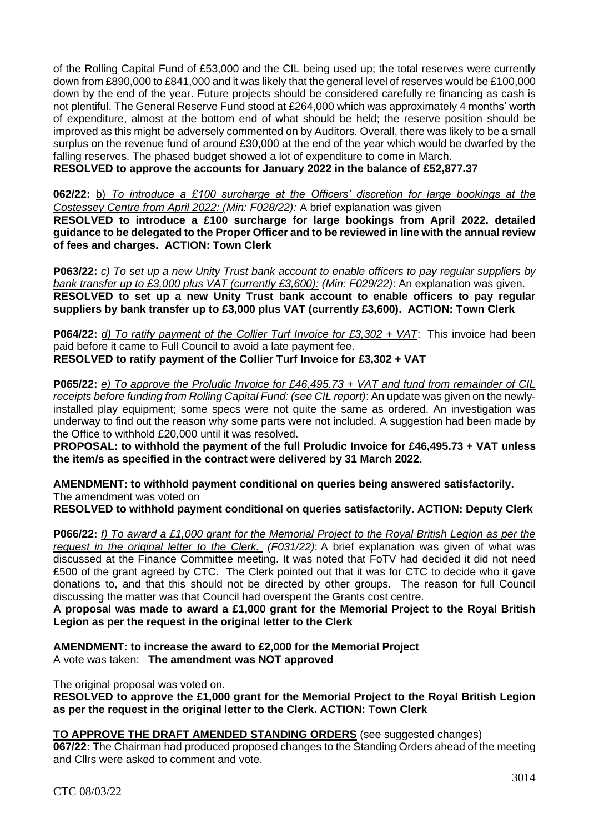of the Rolling Capital Fund of £53,000 and the CIL being used up; the total reserves were currently down from £890,000 to £841,000 and it was likely that the general level of reserves would be £100,000 down by the end of the year. Future projects should be considered carefully re financing as cash is not plentiful. The General Reserve Fund stood at £264,000 which was approximately 4 months' worth of expenditure, almost at the bottom end of what should be held; the reserve position should be improved as this might be adversely commented on by Auditors. Overall, there was likely to be a small surplus on the revenue fund of around £30,000 at the end of the year which would be dwarfed by the falling reserves. The phased budget showed a lot of expenditure to come in March. **RESOLVED to approve the accounts for January 2022 in the balance of £52,877.37**

**062/22:** b) *To introduce a £100 surcharge at the Officers' discretion for large bookings at the Costessey Centre from April 2022: (Min: F028/22):* A brief explanation was given **RESOLVED to introduce a £100 surcharge for large bookings from April 2022. detailed guidance to be delegated to the Proper Officer and to be reviewed in line with the annual review of fees and charges. ACTION: Town Clerk**

**P063/22:** *c) To set up a new Unity Trust bank account to enable officers to pay regular suppliers by bank transfer up to £3,000 plus VAT (currently £3,600): (Min: F029/22)*: An explanation was given. **RESOLVED to set up a new Unity Trust bank account to enable officers to pay regular suppliers by bank transfer up to £3,000 plus VAT (currently £3,600). ACTION: Town Clerk**

**P064/22:** *d) To ratify payment of the Collier Turf Invoice for £3,302 + VAT*: This invoice had been paid before it came to Full Council to avoid a late payment fee.

**RESOLVED to ratify payment of the Collier Turf Invoice for £3,302 + VAT**

**P065/22:** *e) To approve the Proludic Invoice for £46,495.73 + VAT and fund from remainder of CIL receipts before funding from Rolling Capital Fund: (see CIL report)*: An update was given on the newlyinstalled play equipment; some specs were not quite the same as ordered. An investigation was underway to find out the reason why some parts were not included. A suggestion had been made by the Office to withhold £20,000 until it was resolved.

**PROPOSAL: to withhold the payment of the full Proludic Invoice for £46,495.73 + VAT unless the item/s as specified in the contract were delivered by 31 March 2022.**

**AMENDMENT: to withhold payment conditional on queries being answered satisfactorily.**  The amendment was voted on

**RESOLVED to withhold payment conditional on queries satisfactorily. ACTION: Deputy Clerk**

**P066/22:** *f) To award a £1,000 grant for the Memorial Project to the Royal British Legion as per the request in the original letter to the Clerk. (F031/22)*: A brief explanation was given of what was discussed at the Finance Committee meeting. It was noted that FoTV had decided it did not need £500 of the grant agreed by CTC. The Clerk pointed out that it was for CTC to decide who it gave donations to, and that this should not be directed by other groups. The reason for full Council discussing the matter was that Council had overspent the Grants cost centre.

**A proposal was made to award a £1,000 grant for the Memorial Project to the Royal British Legion as per the request in the original letter to the Clerk**

**AMENDMENT: to increase the award to £2,000 for the Memorial Project**  A vote was taken: **The amendment was NOT approved**

The original proposal was voted on.

**RESOLVED to approve the £1,000 grant for the Memorial Project to the Royal British Legion as per the request in the original letter to the Clerk. ACTION: Town Clerk**

# **TO APPROVE THE DRAFT AMENDED STANDING ORDERS** (see suggested changes)

**067/22:** The Chairman had produced proposed changes to the Standing Orders ahead of the meeting and Cllrs were asked to comment and vote.